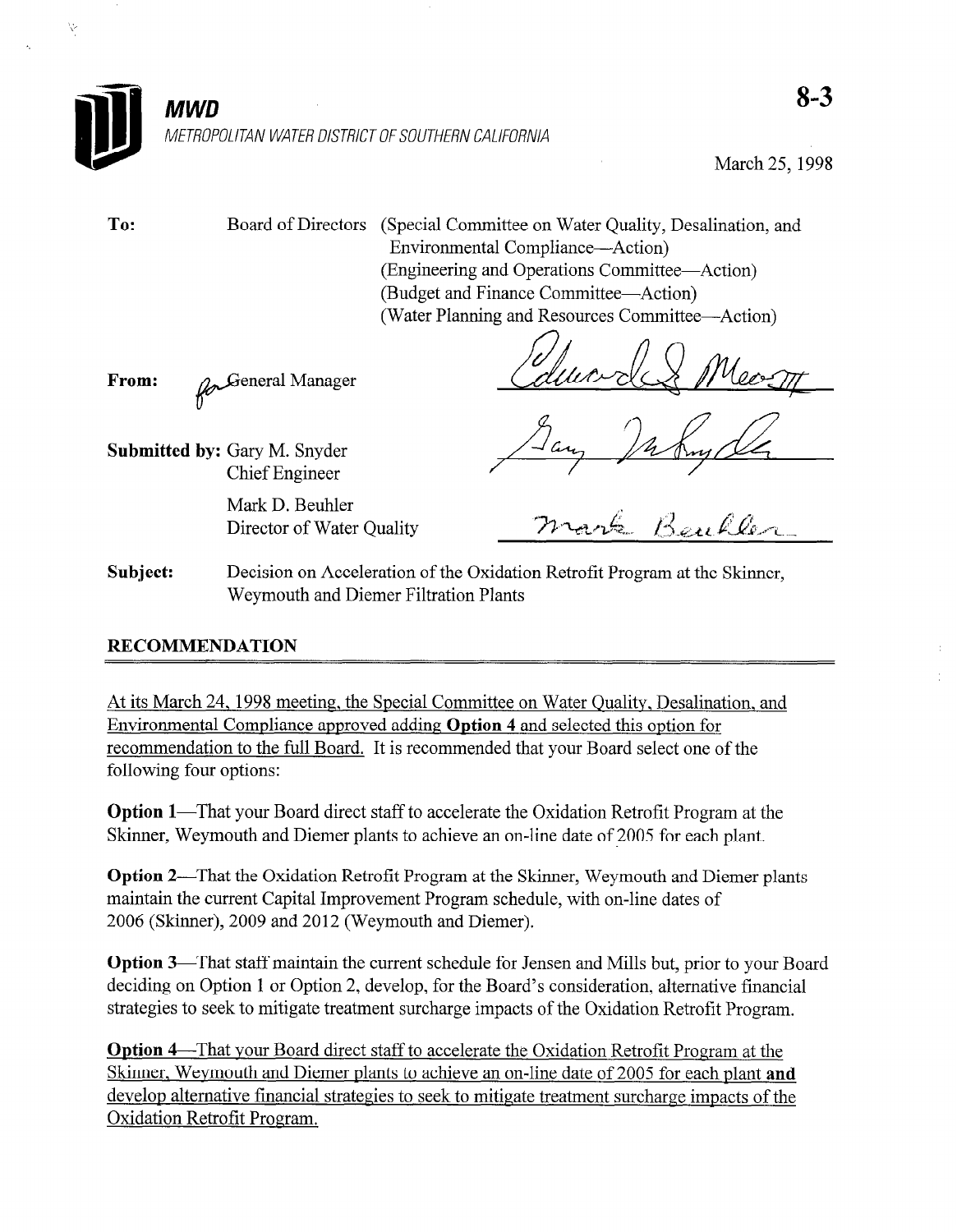

March 25, 1998

Ŋ.

To: Board of Directors (Special Committee on Water Quality, Desalination, and Environmental Compliance-Action) (Engineering and Operations Committee-Action) (Budget and Finance Committee-Action) (Water Planning and Resources Committee-Action)

From:  $\mathcal{D}$ General Manager

Submitted by: Gary M. Snyder Chief Engineer

> Mark D. Beuhler Director of Water Quality

Subject: Decision on Acceleration of the Oxidation Retrofit Program at the Skinner, Weymouth and Diemer Filtration Plants

# RECOMMENDATION

 $\frac{1}{2}$ <u>Et its march 27, 1996 incentig, the special Committee on Water Quanty, Desamia</u> Environmental Compliance approved adding Option 4 and selected this option for recommendation to the full Board. It is recommended that your Board select one of the following four options:

**Option 1**—1 hat your Board direct start to accelerate the Oxidation Retrofit Program at t

**Option 2—That the Oxidation Retrofit Program at the Skinner, Weymouth and Diemer plants** maintain the current Capital Improvement Program schedule, with on-line dates of 2006 (Skinner), 2009 and 2012 (Weymouth and Diemer).

Option 3—That staff maintain the current schedule for Jensen and Mills but, prior to your Board deciding on Option 1 or Option 2, develop, for the Board's consideration, alternative financial strategies to seek to mitigate treatment surcharge impacts of the Oxidation Retrofit Program.

Option 4—That your Board direct staff to accelerate the Oxidation Retrofit Program at the Skinner, Weymouth and Diemer plants to achieve an on-line date of 2005 for each plant and develop alternative financial strategies to seek to mitigate treatment surcharge impacts of the Oxidation Retrofit Program.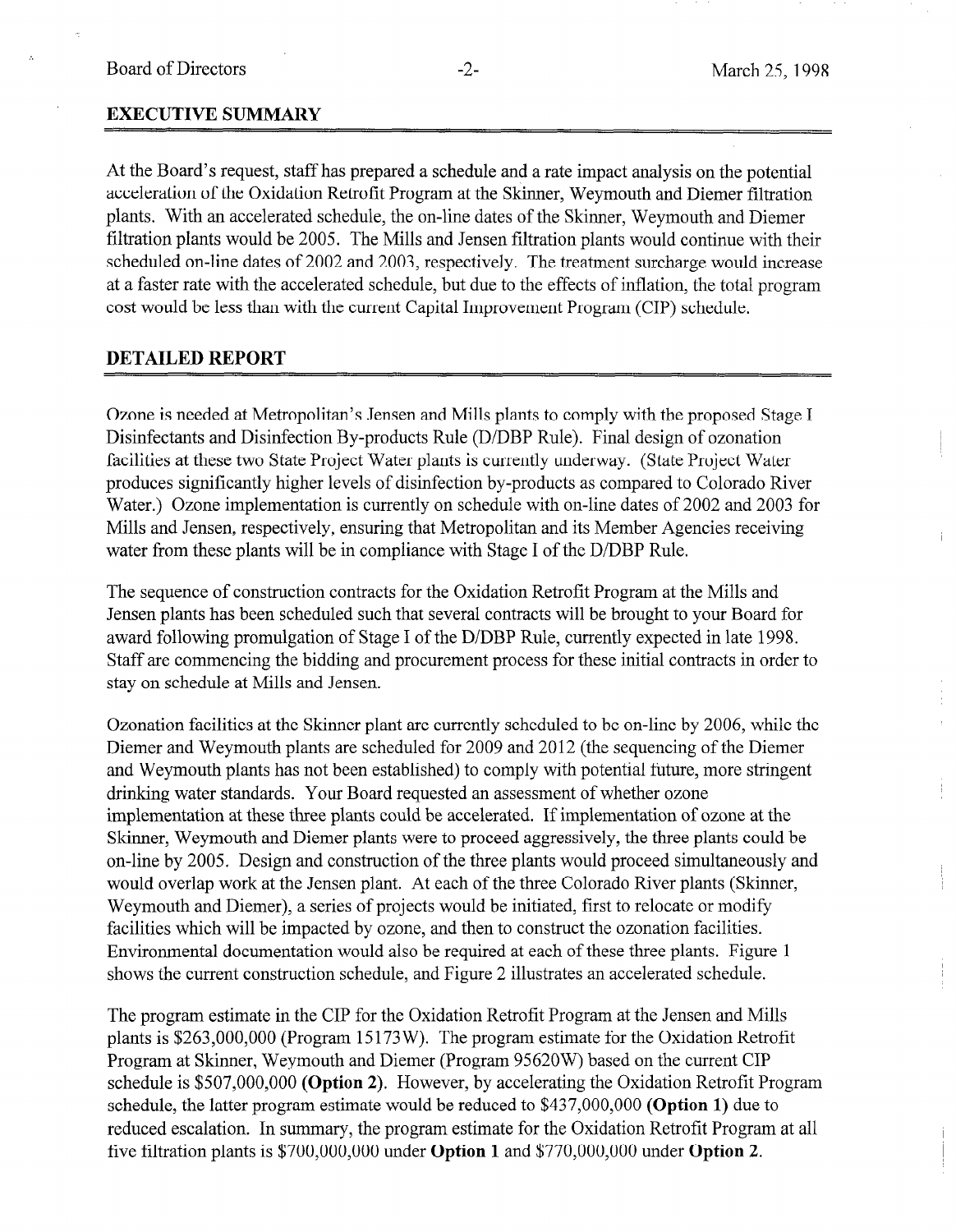# EXECUTIVE SUMMARY

At the Board's request, staff has prepared a schedule and a rate impact analysis on the potential acceleration of the Oxidation Retrofit Program at the Skinner, Weymouth and Diemer filtration plants. With an accelerated schedule, the on-line dates of the Skinner, Weymouth and Diemer filtration plants would be 2005. The Mills and Jensen filtration plants would continue with their scheduled on-line dates of 2002 and 2003, respectively. The treatment surcharge would increase at a faster rate with the accelerated schedule, but due to the effects of inflation, the total program cost would be less than with the current Capital Improvement Program (CIP) schedule.

# DETAILED REPORT

Ozone is needed at Metropolitan's Jensen and Mills plants to comply with the proposed Stage I Disinfectants and Disinfection By-products Rule (D/DBP Rule). Final design of ozonation facilities at these two State Project Water plants is currently underway. (State Project Water produces significantly higher levels of disinfection by-products as compared to Colorado River Water.) Ozone implementation is currently on schedule with on-line dates of 2002 and 2003 for Mills and Jensen, respectively, ensuring that Metropolitan and its Member Agencies receiving water from these plants will be in compliance with Stage I of the D/DBP Rule.

The sequence of construction contracts for the Oxidation Retrofit Program at the Mills and Jensen plants has been scheduled such that several contracts will be brought to your Board for award following promulgation of Stage I of the D/DBP Rule, currently expected in late 1998. Staff are commencing the bidding and procurement process for these initial contracts in order to stay on schedule at Mills and Jensen.

Ozonation facilities at the Skinner plant are currently scheduled to be on-line by 2006, while the  $Oz$ onation factures at the SKHIIET plant are currently scheduled to be on-line by  $2000$ , while t Diemer and Weymouth plants are scheduled for 2009 and 2012 (the sequencing of the Diemer and Weymouth plants has not been established) to comply with potential future, more stringent drinking water standards. Your Board requested an assessment of whether ozone implementation at these three plants could be accelerated. If implementation of ozone at the Skinner, Weymouth and Diemer plants were to proceed aggressively, the three plants could be on-line by 2005. Design and construction of the three plants would proceed simultaneously and would overlap work at the Jensen plant. At each of the three Colorado River plants (Skinner, Weymouth and Diemer), a series of projects would be initiated, first to relocate or modify facilities which will be impacted by ozone, and then to construct the ozonation facilities. Environmental documentation would also be required at each of these three plants. Figure 1 shows the current construction schedule, and Figure 2 illustrates an accelerated schedule.

The program estimate in the CIP for the Oxidation Retrofit Program at the Jensen and Mills plants is  $$263,000,000$  (Program 15173W). The program estimate for the Oxidation Retrofit Program at Skinner, Weymouth and Diemer (Program 95620W) based on the current CIP schedule is  $$507,000,000$  (Option 2). However, by accelerating the Oxidation Retrofit Program schedule, the latter program estimate would be reduced to  $$437,000,000$  (Option 1) due to reduced escalation. In summary, the program estimate for the Oxidation Retrofit Program at all five filtration plants is  $$700,000,000$  under **Option 1** and  $$770,000,000$  under **Option 2**.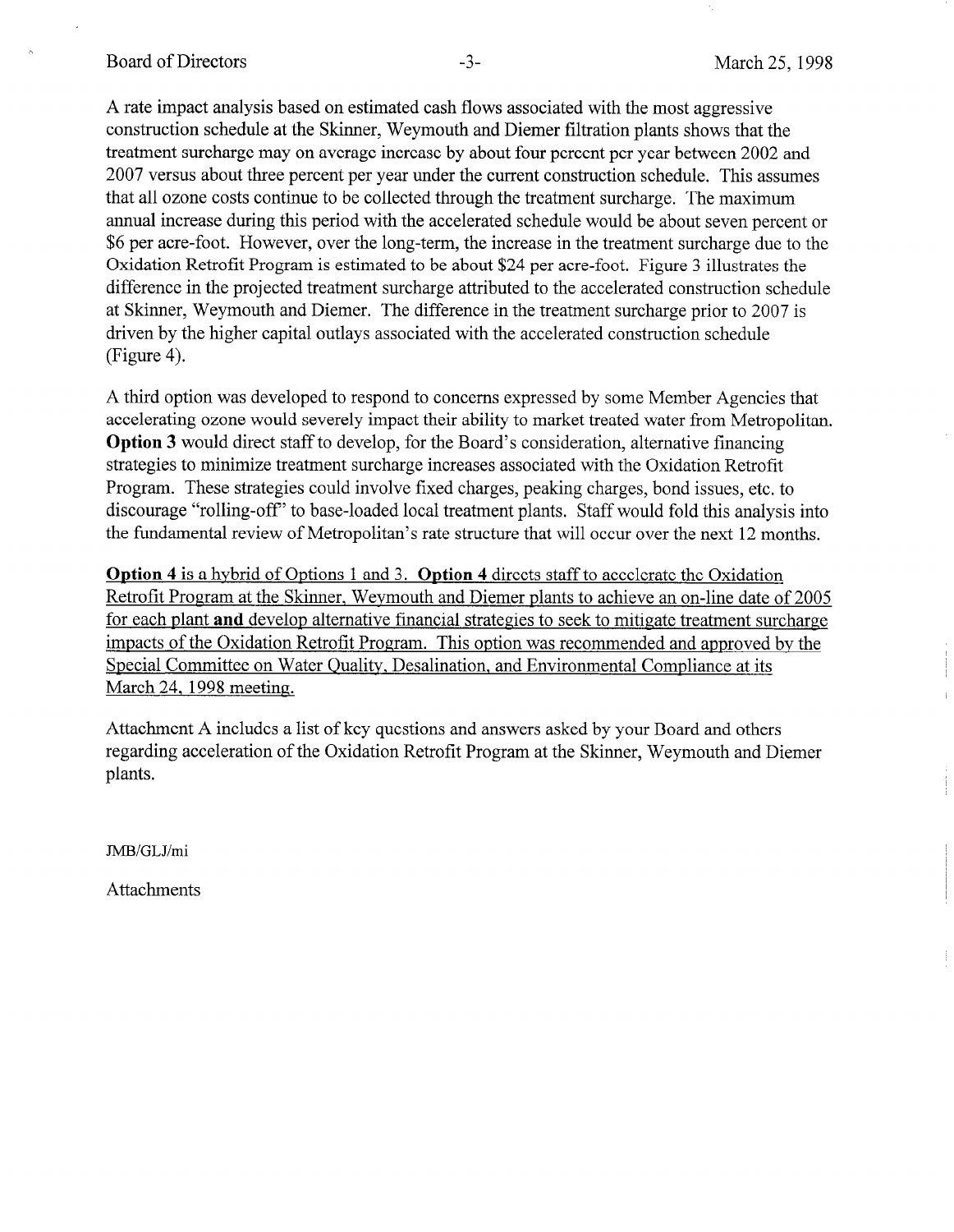#### Board of Directors -3- March 25, 1998

A rate impact analysis based on estimated cash flows associated with the most aggressive construction schedule at the Skinner, Weymouth and Diemer filtration plants shows that the treatment surcharge may on average increase by about four percent per year between 2002 and 2007 versus about three percent per year under the current construction schedule. This assumes that all ozone costs continue to be collected through the treatment surcharge. The maximum annual increase during this period with the accelerated schedule would be about seven percent or \$6 per acre-foot. However, over the long-term, the increase in the treatment surcharge due to the Oxidation Retrofit Program is estimated to be about \$24 per acre-foot. Figure 3 illustrates the difference in the projected treatment surcharge attributed to the accelerated construction schedule at Skinner, Weymouth and Diemer. The difference in the treatment surcharge prior to 2007 is driven by the higher capital outlays associated with the accelerated construction schedule (Figure 4).

A third option was developed to respond to concerns expressed by some Member Agencies that accelerating ozone would severely impact their ability to market treated water from Metropolitan. Option 3 would direct staff to develop, for the Board's consideration, alternative financing strategies to minimize treatment surcharge increases associated with the Oxidation Retrofit Program. These strategies could involve fixed charges, peaking charges, bond issues, etc. to discourage "rolling-off' to base-loaded local treatment plants. Staff would fold this analysis into the fundamental review of Metropolitan's rate structure that will occur over the next 12 months.

Option 4 is a hybrid of Options 1 and 3. Option 4 directs staff to accelerate the Oxidation Retrofit Program at the Skinner, Wevmouth and Diemer plants to achieve an on-line date of 2005 for each plant and develop alternative financial strategies to seek to mitigate treatment surcharge impacts of the Oxidation Retrofit Program. This option was recommended and approved bv the Special Committee on Water Quality, Desalination, and Environmental Compliance at its March 24. 1998 meeting.

Attachment A includes a list of key questions and answers asked by your Board and others regarding acceleration of the Oxidation Retrofit Program at the Skinner, Weymouth and Diemer plants.

JMB/GLJ/mi

Attachments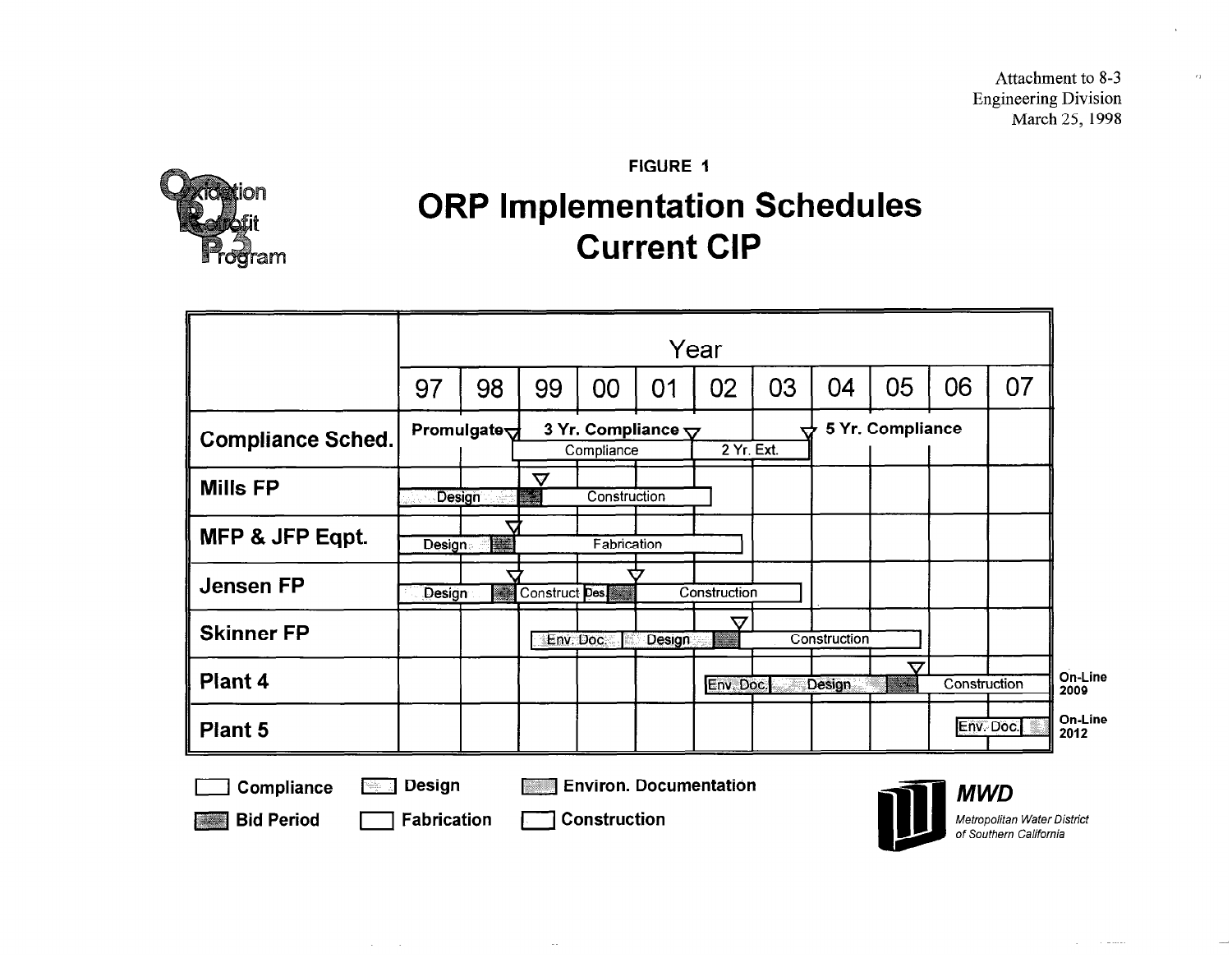Attachment to 8-3 Engineering Division March 25, 1998

am

FIGURE 1

# ORP Implementation Schedules Current CIP

|                          |               | Year                                                                                                                                                                                                                                            |               |                                                    |               |               |    |              |                     |              |    |
|--------------------------|---------------|-------------------------------------------------------------------------------------------------------------------------------------------------------------------------------------------------------------------------------------------------|---------------|----------------------------------------------------|---------------|---------------|----|--------------|---------------------|--------------|----|
|                          | 97            | 98                                                                                                                                                                                                                                              | 99            | 00                                                 | 01            | 02            | 03 | 04           | 05                  | 06           | 07 |
| <b>Compliance Sched.</b> |               | Promulgate $\forall$                                                                                                                                                                                                                            |               | 3 Yr. Compliance $\overline{\nabla}$<br>Compliance |               | $2$ Yr. Ext.  | ↽  |              | 5 Yr. Compliance    |              |    |
| <b>Mills FP</b>          | Design        |                                                                                                                                                                                                                                                 | $\bm{\nabla}$ | Construction                                       |               |               |    |              |                     |              |    |
| MFP & JFP Eqpt.          | <b>Design</b> | $\mathbf u$<br>anggaran dan kalendar dan kalendar dan kalendar dan dari dari dari dari dari dari dari dalam dalam dan dalam d<br>Kabupatèn Sulawe dan kalendar dan kalendar dan kalendar dan dalam kalendar dan dalam kalendar dan dalam kalend |               | Fabrication                                        |               |               |    |              |                     |              |    |
| <b>Jensen FP</b>         | Design        | <b>Robert Barnett</b>                                                                                                                                                                                                                           | Construct Des |                                                    |               | Construction  |    |              |                     |              |    |
| <b>Skinner FP</b>        |               |                                                                                                                                                                                                                                                 | Env. Doc.     |                                                    | <b>Design</b> | $\bm{\nabla}$ |    | Construction |                     |              |    |
| Plant 4                  |               |                                                                                                                                                                                                                                                 |               |                                                    |               | Env. Doc      |    | Design       | 77<br><b>Second</b> | Construction |    |
| <b>Plant 5</b>           |               |                                                                                                                                                                                                                                                 |               |                                                    |               |               |    |              |                     | Env. Doc.    |    |

Bid Period | Fabrication | Construction

 $\mathcal{A}^{\mathcal{A}}$  and  $\mathcal{A}^{\mathcal{A}}$ 

 $\sim$  .

Metropolitan Water District of Southern California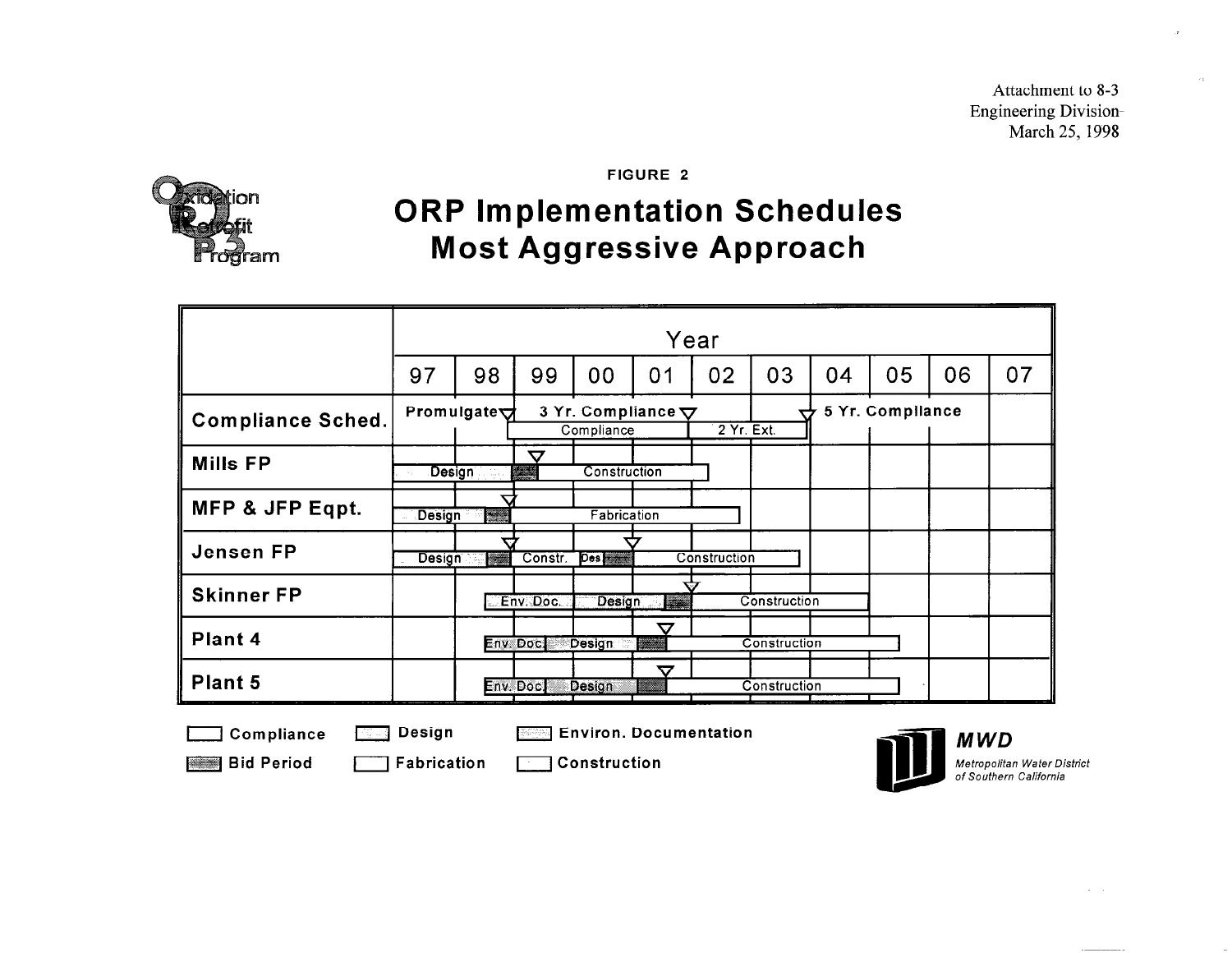Attachment to 8-3 Engineering Division March 25, 1998



FIGURE 2

# ORP Implementation Schedules Most Aggressive Approach

|                          | Year          |                                                                                                                                                                                                                                  |                               |                                         |                 |              |              |    |                  |    |    |
|--------------------------|---------------|----------------------------------------------------------------------------------------------------------------------------------------------------------------------------------------------------------------------------------|-------------------------------|-----------------------------------------|-----------------|--------------|--------------|----|------------------|----|----|
|                          | 97            | 98                                                                                                                                                                                                                               | 99                            | 00                                      | 01              | 02           | 03           | 04 | 05               | 06 | 07 |
| <b>Compliance Sched.</b> |               | Promulgate $\forall$                                                                                                                                                                                                             |                               | 3 Yr. Compliance $\nabla$<br>Compliance |                 | 2 Yr. Ext.   | ⇁            |    | 5 Yr. Compliance |    |    |
| <b>Mills FP</b>          | Design        |                                                                                                                                                                                                                                  | $\bm{\nabla}$<br><b>Maria</b> | Construction                            |                 |              |              |    |                  |    |    |
| MFP & JFP Eqpt.          | <b>Design</b> | e di conservazione di conservazione di conservazione di conservazione di conservazione di conservazione di con<br>Conservazione di conservazione di conservazione di conservazione di conservazione di conservazione di conserva |                               | Fabrication                             |                 |              |              |    |                  |    |    |
| <b>Jensen FP</b>         | <b>Design</b> | en de la componenta de la componenta de la componenta de la componenta de la componenta de la componenta de la                                                                                                                   | Constr.                       | Des <sub>1</sub>                        |                 | Construction |              |    |                  |    |    |
| <b>Skinner FP</b>        |               |                                                                                                                                                                                                                                  | Env. Doc.                     | Design                                  | <b>Maritimo</b> |              | Construction |    |                  |    |    |
| Plant 4                  |               |                                                                                                                                                                                                                                  | Env. Doc.                     | <b>Design</b>                           | 77<br>anaanaa   |              | Construction |    |                  |    |    |
| Plant 5                  |               |                                                                                                                                                                                                                                  | Env. Doc.                     | Design                                  | ▽               |              | Construction |    |                  |    |    |

I Compliance **I Design Change Design Design Design** Environ. Documentation

Bid Period **1 Fabrication 1 Construction** 



Metropolitan Water District of Southern California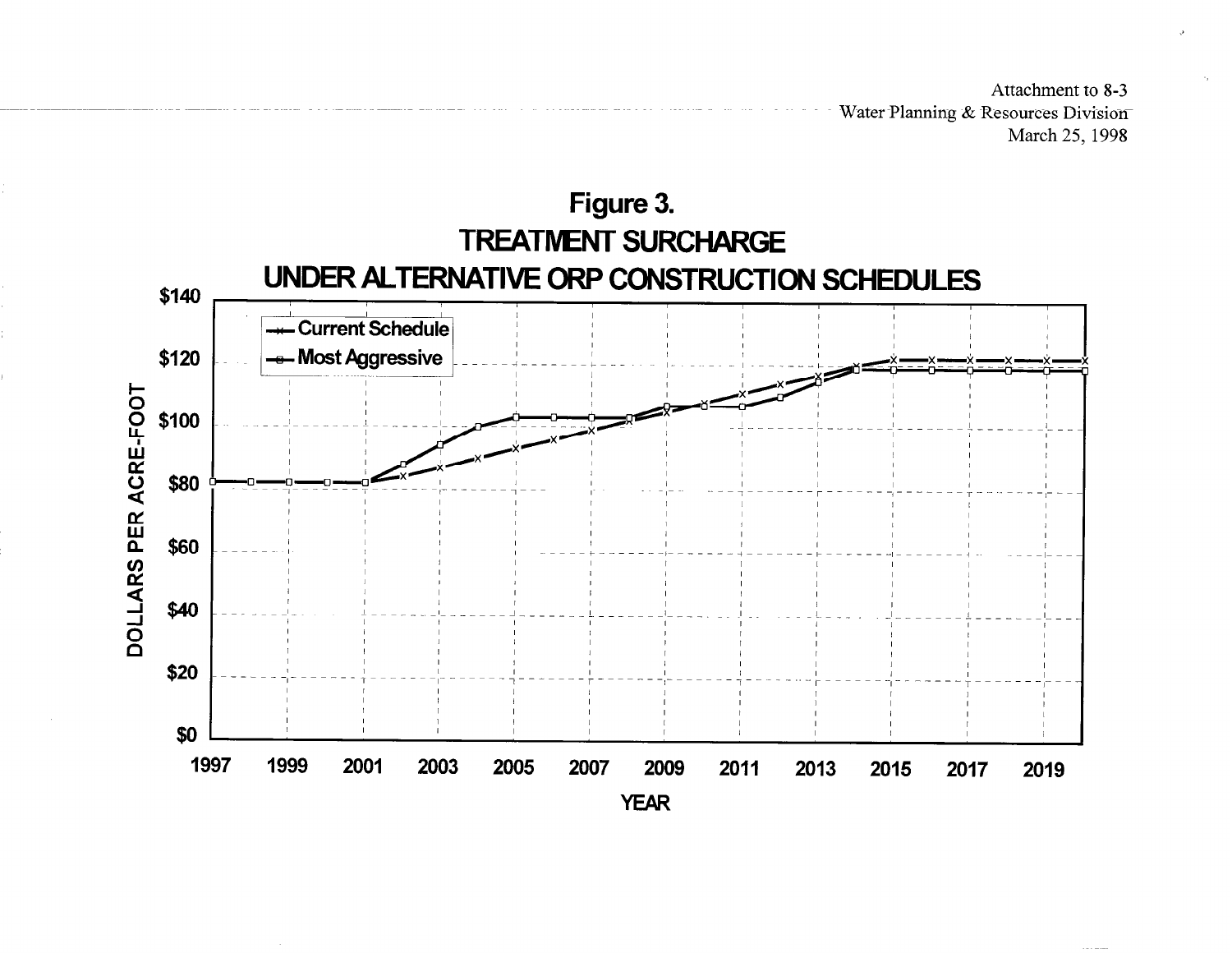Attachment to 8-3 Water Planning & Resources Division March 25, 1998

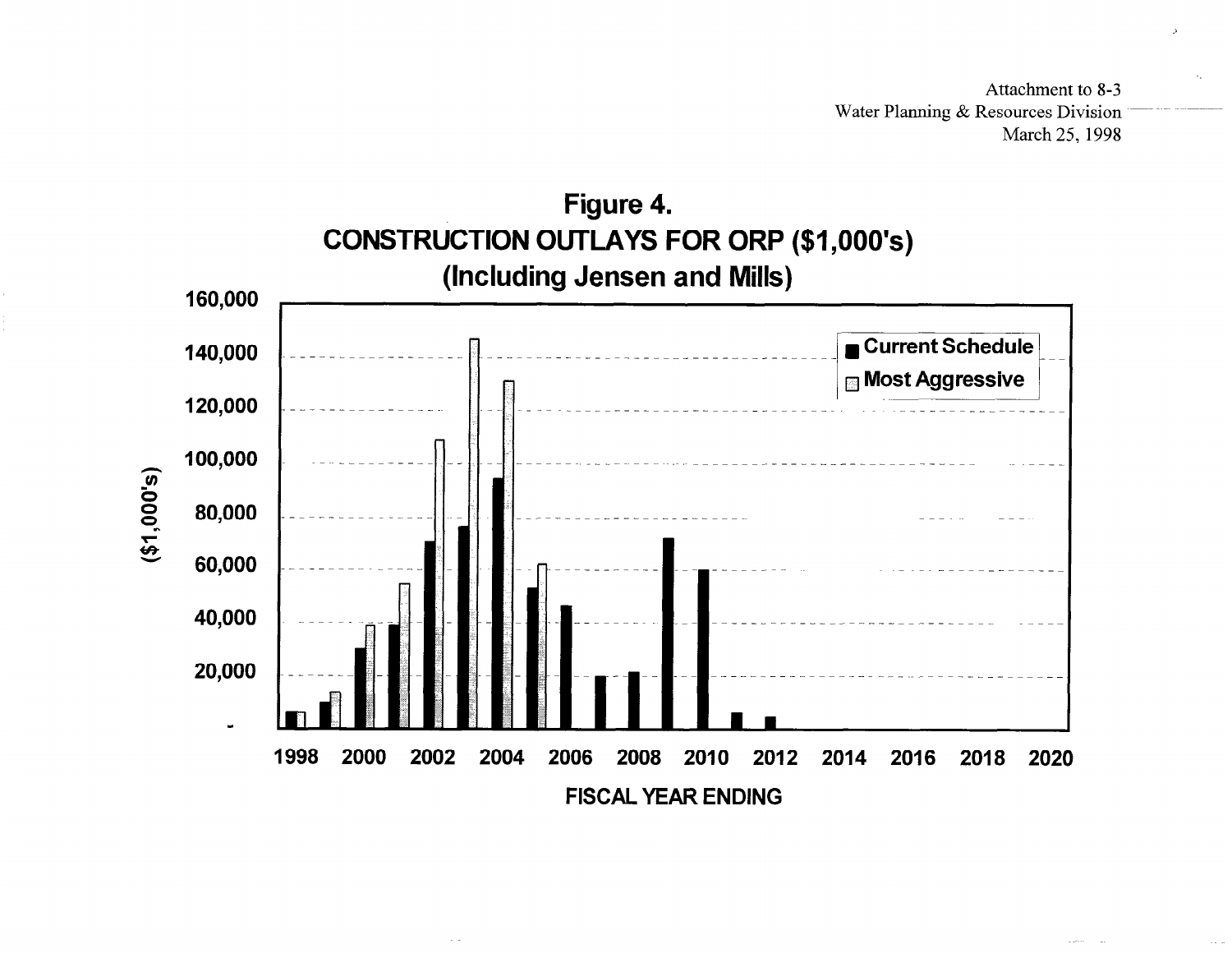Attachment to 8-3 Water Planning & Resources Division March 25, 1998

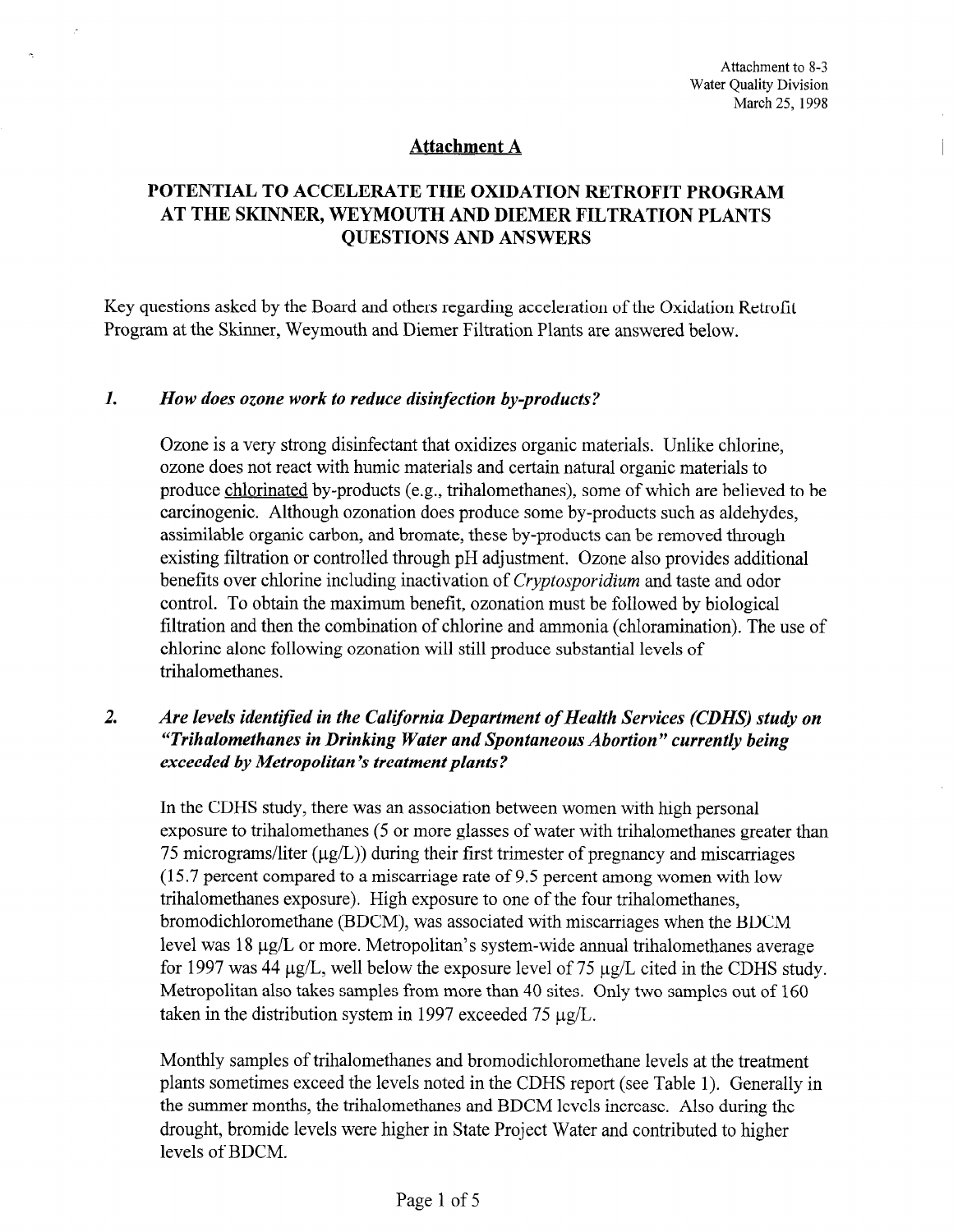$\mathbf{r}$ 

## Attachment A

# POTENTIAL TO ACCELERATE THE OXIDATION RETROFIT PROGRAM AT THE SKINNER, WEYMOUTH AND DIEMER FILTRATION PLANTS QUESTIONS AND ANSWERS

Key questions asked by the Board and others regarding acceleration of the Oxidation Retrofit Program at the Skinner, Weymouth and Diemer Filtration Plants are answered below.

#### 1. How does ozone work to reduce disinfection by-products?

Ozone is a very strong disinfectant that oxidizes organic materials. Unlike chlorine, ozone does not react with humic materials and certain natural organic materials to produce chlorinated by-products (e.g., trihalomethanes), some of which are believed to be carcinogenic. Although ozonation does produce some by-products such as aldehydes, assimilable organic carbon, and bromate, these by-products can be removed through existing filtration or controlled through pH adjustment. Ozone also provides additional benefits over chlorine including inactivation of Cryptosporidium and taste and odor control. To obtain the maximum benefit, ozonation must be followed by biological foltration and the maximum ochem, ozonation must be foltowed by biological  $\frac{1}{2}$  characterized alone following or  $\frac{1}{2}$  and  $\frac{1}{2}$  and  $\frac{1}{2}$   $\frac{1}{2}$  and  $\frac{1}{2}$  and  $\frac{1}{2}$  and  $\frac{1}{2}$  and  $\frac{1}{2}$  and  $\frac{1}{2}$  and  $\frac{1}{2}$  and  $\frac{1}{2}$  and  $\frac{1}{2}$  and  $\frac{1}{2}$  and chlorine alone following ozonation will still produce substantial levels of trihalomethanes.

# 2. Are levels ident@ed in the California Department of Health Services (CDHS) study on Are levels memijied in the California Department of Health Services (CDHS) stud "Trihalomethanes in Drinking Water and Spontaneous Abortion" currently being<br>exceeded by Metropolitan's treatment plants?

In the CDHS study, there was an association between women with high personal exposure to trihalomethanes (5 or more glasses of water with trihalomethanes greater than 75 micrograms/liter  $(\mu g/L)$ ) during their first trimester of pregnancy and miscarriages  $(15.7)$  percent compared to a miscarriage rate of 9.5 percent among women with low trihalomethanes exposure). High exposure to one of the four trihalomethanes, bromodichloromethane (BDCM), was associated with miscarriages when the BDCM level was  $18 \mu g/L$  or more. Metropolitan's system-wide annual trihalomethanes average for 1997 was 44  $\mu$ g/L, well below the exposure level of 75  $\mu$ g/L cited in the CDHS study. Metropolitan also takes samples from more than 40 sites. Only two samples out of 160 taken in the distribution system in 1997 exceeded 75  $\mu$ g/L.

Monthly samples of trihalomethanes and bromodichloromethane levels at the treatment plants sometimes exceed the levels noted in the CDHS report (see Table 1). Generally in the summer months, the trihalomethanes and BDCM levels increase. Also during the drought, bromide levels were higher in State Project Water and contributed to higher levels of BDCM.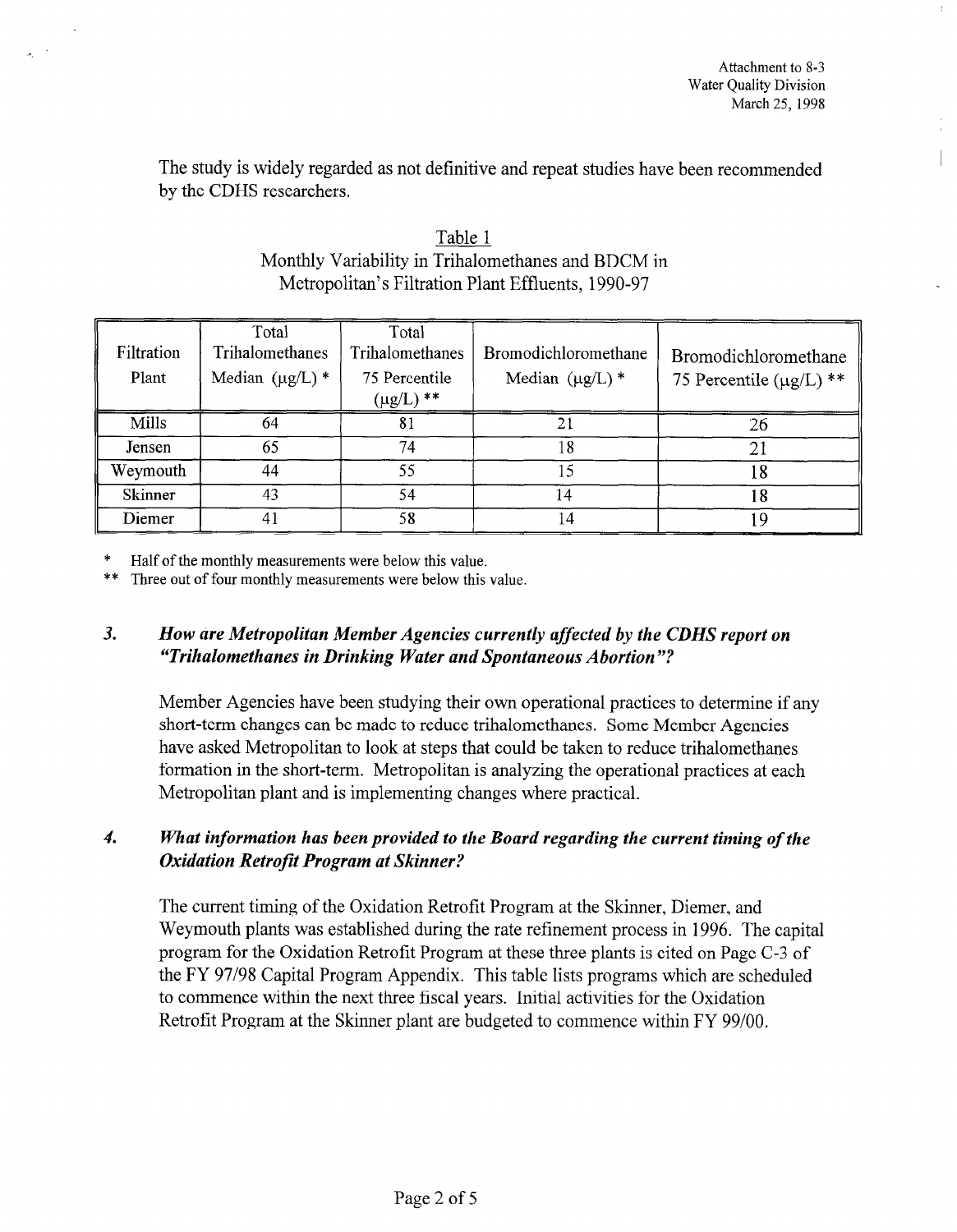The study is widely regarded as not definitive and repeat studies have been recommended by the CDHS researchers.

| Filtration<br>Plant | Total<br>Trihalomethanes<br>Median $(\mu g/L)$ * | Total<br>Trihalomethanes<br>75 Percentile<br>$(\mu g/L)$ ** | Bromodichloromethane<br>Median $(\mu g/L)$ * | Bromodichloromethane<br>75 Percentile $(\mu g/L)$ ** |
|---------------------|--------------------------------------------------|-------------------------------------------------------------|----------------------------------------------|------------------------------------------------------|
| Mills               | 64                                               | 81                                                          |                                              | 26                                                   |
| Jensen              | 65                                               | 74                                                          | 8                                            | 21                                                   |
| Weymouth            | 44                                               | 55                                                          | 5                                            | 18                                                   |
| <b>Skinner</b>      | 43                                               | 54                                                          | 14                                           | 18                                                   |
| Diemer              | 4                                                | 58                                                          | 14                                           | Q                                                    |

| Table 1                                            |
|----------------------------------------------------|
| Monthly Variability in Trihalomethanes and BDCM in |
| Metropolitan's Filtration Plant Effluents, 1990-97 |

Half of the monthly measurements were below this value.

\*\* Three out of four monthly measurements were below this value.

# 3. How are Metropolitan Member Agencies currently affected by the CDHS report on "Trihalomethanes in Drinking Water and Spontaneous Abortion "?

Member Agencies have been studying their own operational practices to determine if any short-term changes can be made the manufacture tried the material of the material of the material of  $\mu$ short-term changes can be made to reduce trihalomethanes. Some Member Agencies have asked Metropolitan to look at steps that could be taken to reduce trihalomethanes formation in the short-term. Metropolitan is analyzing the operational practices at each Metropolitan plant and is implementing changes where practical.

# What information has been provided to the Board regarding the current timing of the<br>Oxidation Retrofit Program at Skinner?

The current timing of the Oxidation Retrofit Program at the Skinner, Diemer, and Weymouth plants was established during the rate refinement process in 1996. The capital program for the Oxidation Retrofit Program at these three plants is cited on Page C-3 of the FY 97/98 Capital Program Appendix. This table lists programs which are scheduled to commence within the next three fiscal years. Initial activities for the Oxidation Retrofit Program at the Skinner plant are budgeted to commence within FY 99/00.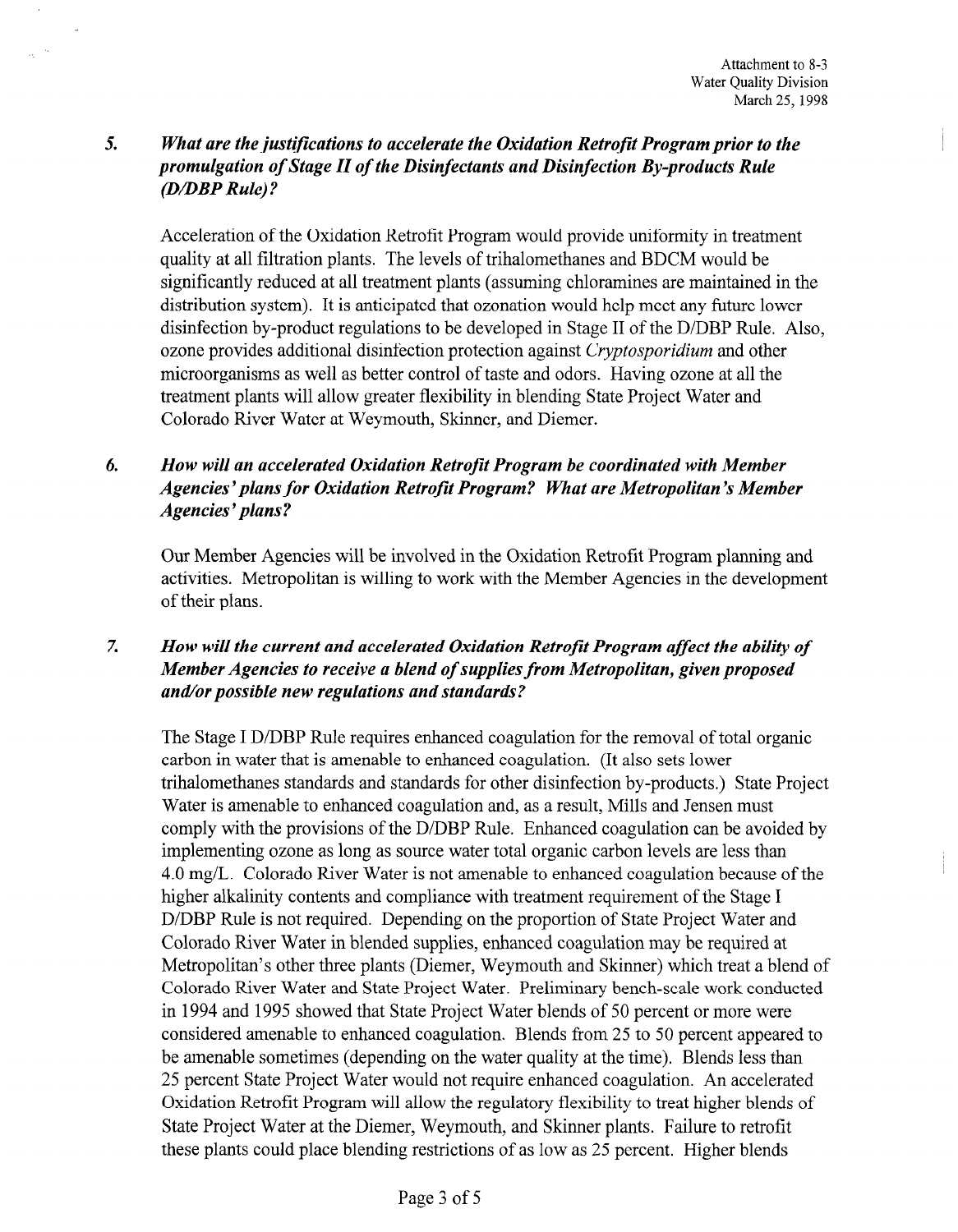# 5. What are the justifications to accelerate the Oxidation Retrofit Program prior to the promulgation of Stage II of the Disinfectants and Disinfection By-products Rule (D/DBP Rule)?

Acceleration of the Oxidation Retrofit Program would provide uniformity in treatment quality at all filtration plants. The levels of trihalomethanes and BDCM would be significantly reduced at all treatment plants (assuming chloramines are maintained in the distribution system). It is anticipated that ozonation would help meet any future lower disinfection by-product regulations to be developed in Stage II of the D/DBP Rule. Also, ozone provides additional disinfection protection against Cryptosporidium and other microorganisms as well as better control of taste and odors. Having ozone at all the treatment plants will allow greater flexibility in blending State Project Water and Colorado River Water at Weymouth, Skinner, and Diemer.

# 6. How will an accelerated Oxidation Retrofit Program be coordinated with Member Agencies' plans for Oxidation Retrofit Program? What are Metropolitan's Member Agencies' plans?

Our Member Agencies will be involved in the Oxidation Retrofit Program planning and activities. Metropolitan is willing to work with the Member Agencies in the development of their plans.

# 7. How will the current and accelerated Oxidation Retrofit Program affect the ability of How was the current and accelerated oxidation Retrofa I rogram affect the dollar Member Agencies to receive a blend of supplies from Metropolitan, given proposed<br>and/or possible new regulations and standards?

The Stage I D/DBP Rule requires enhanced coagulation for the removal of total organic The stage I D/DBF Kule requires enhanced coagulation for the removal of the carbon in water that is amenable to enhanced coagulation. (It also sets lower trihalomethanes standards and standards for other disinfection by-products.) State Project Water is amenable to enhanced coagulation and, as a result, Mills and Jensen must comply with the provisions of the D/DBP Rule. Enhanced coagulation can be avoided by implementing ozone as long as source water total organic carbon levels are less than 4.0 mg/L. Colorado River Water is not amenable to enhanced coagulation because of the higher alkalinity contents and compliance with treatment requirement of the Stage I D/DBP Rule is not required. Depending on the proportion of State Project Water and Colorado River Water in blended supplies, enhanced coagulation may be required at Metropolitan's other three plants (Diemer, Weymouth and Skinner) which treat a blend of Colorado River Water and State Project Water. Preliminary bench-scale work conducted in 1994 and 1995 showed that State Project Water blends of 50 percent or more were considered amenable to enhanced coagulation. Blends from 25 to 50 percent appeared to be amenable sometimes (depending on the water quality at the time). Blends less than 25 percent State Project Water would not require enhanced coagulation. An accelerated Oxidation Retrofit Program will allow the regulatory flexibility to treat higher blends of State Project Water at the Diemer, Weymouth, and Skinner plants. Failure to retrofit these plants could place blending restrictions of as low as 25 percent. Higher blends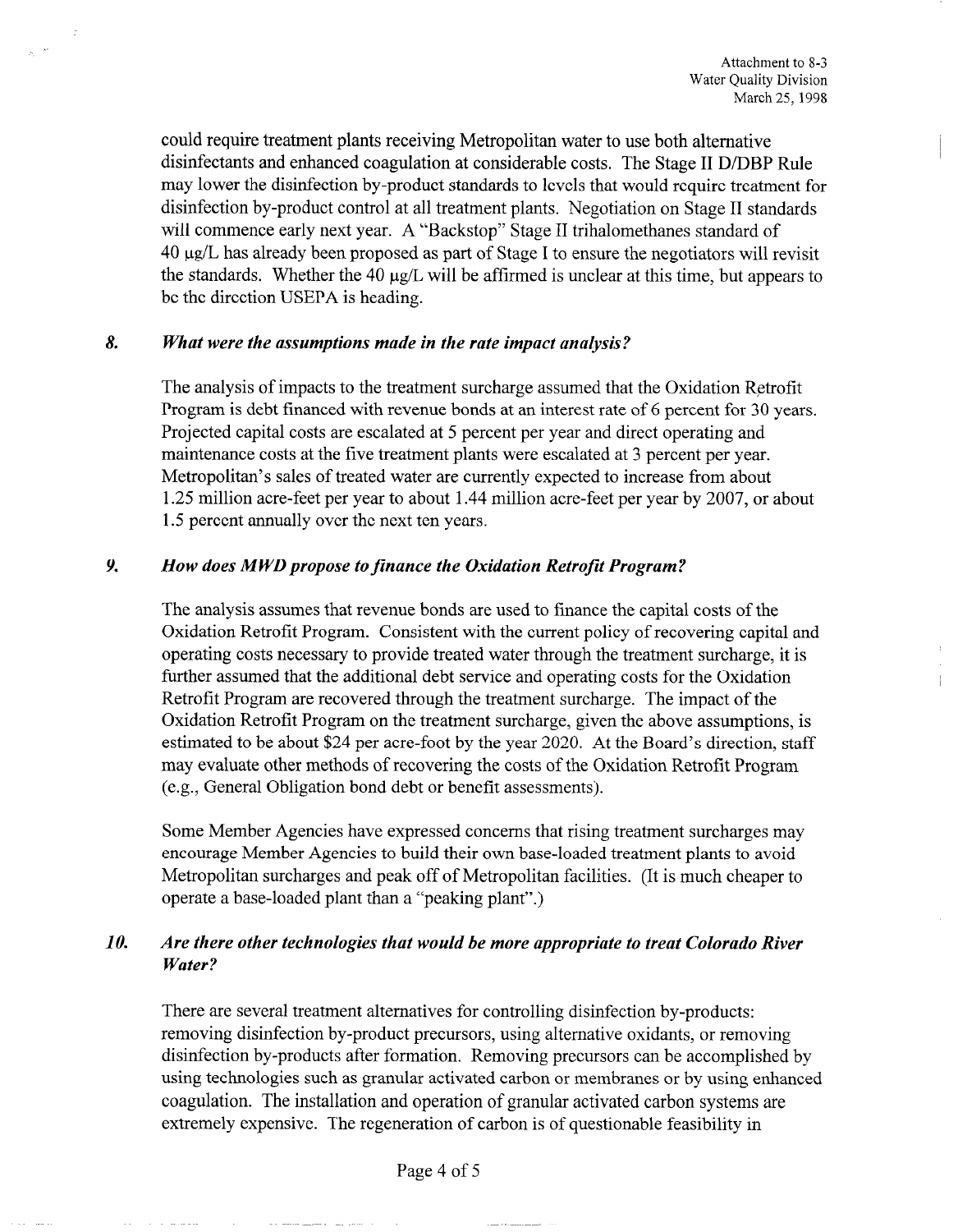could require treatment plants receiving Metropolitan water to use both alternative disinfectants and enhanced coagulation at considerable costs. The Stage II D/DBP Rule may lower the disinfection by-product standards to levels that would require treatment for disinfection by-product control at all treatment plants. Negotiation on Stage II standards will commence early next year. A "Backstop" Stage II trihalomethanes standard of 40 pg/L has already been proposed as part of Stage I to ensure the negotiators will revisit the standards. Whether the 40  $\mu$ g/L will be affirmed is unclear at this time, but appears to be the direction USEPA is heading.

#### 8. What were the assumptions made in the rate impact analysis?

The analysis of impacts to the treatment surcharge assumed that the Oxidation Retrofit Program is debt financed with revenue bonds at an interest rate of 6 percent for 30 years. Projected capital costs are escalated at 5 percent per year and direct operating and maintenance costs at the five treatment plants were escalated at 3 percent per year. Metropolitan's sales of treated water are currently expected to increase from about 1.25 million acre-feet per year to about 1.44 million acre-feet per year by 2007, or about 1.5 percent annually over the next ten years.

#### 9. How does MWD propose to finance the Oxidation Retrofit Program?

The analysis assumes that revenue bonds are used to finance the capital costs of the Oxidation Retrofit Program. Consistent with the current policy of recovering capital and operating costs necessary to provide treated water through the treatment surcharge, it is further assumed that the additional debt service and operating costs for the Oxidation Retrofit Program are recovered through the treatment surcharge. The impact of the Oxidation Retrofit Program on the treatment surcharge, given the above assumptions, is estimated to be about \$24 per acre-foot by the year 2020. At the Board's direction, staff may evaluate other methods of recovering the costs of the Oxidation Retrofit Program (e.g., General Obligation bond debt or benefit assessments).

Some Member Agencies have expressed concerns that rising treatment surcharges may encourage Member Agencies to build their own base-loaded treatment plants to avoid Metropolitan surcharges and peak off of Metropolitan facilities. (It is much cheaper to operate a base-loaded plant than a "peaking plant".)

## 10. Are there other technologies that would be more appropriate to treat Colorado River Water?

There are several treatment alternatives for controlling disinfection by-products: removing disinfection by-product precursors, using alternative oxidants, or removing disinfection by-products after formation. Removing precursors can be accomplished by using technologies such as granular activated carbon or membranes or by using enhanced coagulation. The installation and operation of granular activated carbon systems are extremely expensive. The regeneration of carbon is of questionable feasibility in

Page 4 of 5